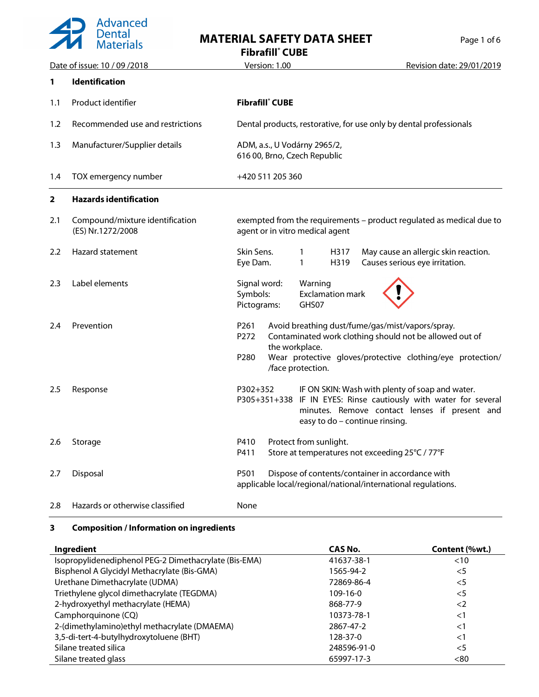

## **MATERIAL SAFETY DATA SHEET**

| Page 1 of 6 |  |  |
|-------------|--|--|
|             |  |  |

**Fibrafill® CUBE**

|                | Date of issue: 10 / 09 / 2018                        | <u>Version: 1.00</u><br>Revision date: 29/01/2019                                                                                                                                                                                                    |
|----------------|------------------------------------------------------|------------------------------------------------------------------------------------------------------------------------------------------------------------------------------------------------------------------------------------------------------|
| 1              | <b>Identification</b>                                |                                                                                                                                                                                                                                                      |
| 1.1            | Product identifier                                   | <b>Fibrafill</b> CUBE                                                                                                                                                                                                                                |
| 1.2            | Recommended use and restrictions                     | Dental products, restorative, for use only by dental professionals                                                                                                                                                                                   |
| 1.3            | Manufacturer/Supplier details                        | ADM, a.s., U Vodárny 2965/2,<br>616 00, Brno, Czech Republic                                                                                                                                                                                         |
| 1.4            | TOX emergency number                                 | +420 511 205 360                                                                                                                                                                                                                                     |
| $\overline{2}$ | <b>Hazards identification</b>                        |                                                                                                                                                                                                                                                      |
| 2.1            | Compound/mixture identification<br>(ES) Nr.1272/2008 | exempted from the requirements - product regulated as medical due to<br>agent or in vitro medical agent                                                                                                                                              |
| 2.2            | Hazard statement                                     | Skin Sens.<br>May cause an allergic skin reaction.<br>H317<br>1<br>Eye Dam.<br>1<br>H319<br>Causes serious eye irritation.                                                                                                                           |
| 2.3            | Label elements                                       | Signal word:<br>Warning<br>Symbols:<br><b>Exclamation mark</b><br>Pictograms:<br>GHS07                                                                                                                                                               |
| 2.4            | Prevention                                           | P <sub>261</sub><br>Avoid breathing dust/fume/gas/mist/vapors/spray.<br>Contaminated work clothing should not be allowed out of<br>P272<br>the workplace.<br>Wear protective gloves/protective clothing/eye protection/<br>P280<br>/face protection. |
| 2.5            | Response                                             | IF ON SKIN: Wash with plenty of soap and water.<br>P302+352<br>P305+351+338 IF IN EYES: Rinse cautiously with water for several<br>minutes. Remove contact lenses if present and<br>easy to do - continue rinsing.                                   |
| 2.6            | Storage                                              | Protect from sunlight.<br>P410<br>Store at temperatures not exceeding 25°C / 77°F<br>P411                                                                                                                                                            |
| 2.7            | Disposal                                             | P501<br>Dispose of contents/container in accordance with<br>applicable local/regional/national/international regulations.                                                                                                                            |
| 2.8            | Hazards or otherwise classified                      | None                                                                                                                                                                                                                                                 |

#### **3 Composition / Information on ingredients**

| Ingredient                                            | CAS No.     | Content (%wt.) |
|-------------------------------------------------------|-------------|----------------|
| Isopropylidenediphenol PEG-2 Dimethacrylate (Bis-EMA) | 41637-38-1  | < 10           |
| Bisphenol A Glycidyl Methacrylate (Bis-GMA)           | 1565-94-2   | $<$ 5          |
| Urethane Dimethacrylate (UDMA)                        | 72869-86-4  | $<$ 5          |
| Triethylene glycol dimethacrylate (TEGDMA)            | $109-16-0$  | $<$ 5          |
| 2-hydroxyethyl methacrylate (HEMA)                    | 868-77-9    | $\langle$ 2    |
| Camphorquinone (CQ)                                   | 10373-78-1  | $<$ 1          |
| 2-(dimethylamino) ethyl methacrylate (DMAEMA)         | 2867-47-2   | $<$ 1          |
| 3,5-di-tert-4-butylhydroxytoluene (BHT)               | 128-37-0    | $<$ 1          |
| Silane treated silica                                 | 248596-91-0 | $<$ 5          |
| Silane treated glass                                  | 65997-17-3  | < 80           |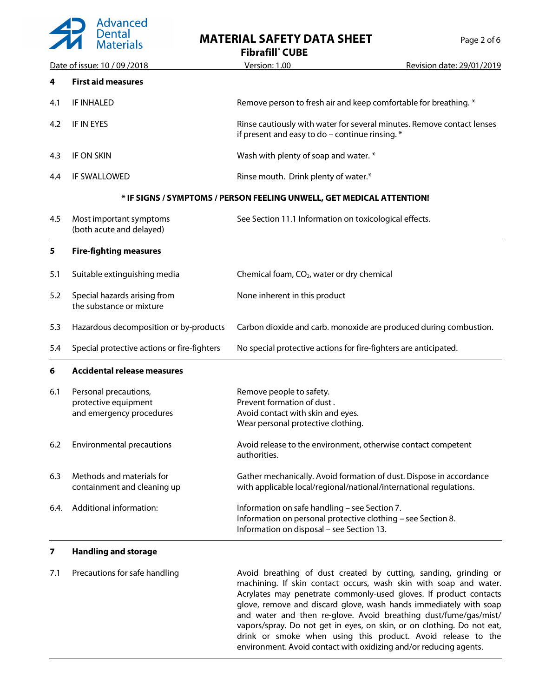

**MATERIAL SAFETY DATA SHEET** Page 2 of 6

|                               |                                                                           | <b>Fibrafill</b> CUBE                                                                                                                                      |                           |
|-------------------------------|---------------------------------------------------------------------------|------------------------------------------------------------------------------------------------------------------------------------------------------------|---------------------------|
| Date of issue: 10 / 09 / 2018 |                                                                           | Version: 1.00                                                                                                                                              | Revision date: 29/01/2019 |
| 4                             | <b>First aid measures</b>                                                 |                                                                                                                                                            |                           |
| 4.1                           | IF INHALED                                                                | Remove person to fresh air and keep comfortable for breathing. *                                                                                           |                           |
| 4.2                           | IF IN EYES                                                                | Rinse cautiously with water for several minutes. Remove contact lenses<br>if present and easy to do $-$ continue rinsing. $*$                              |                           |
| 4.3                           | IF ON SKIN                                                                | Wash with plenty of soap and water. *                                                                                                                      |                           |
| 4.4                           | IF SWALLOWED                                                              | Rinse mouth. Drink plenty of water.*                                                                                                                       |                           |
|                               |                                                                           | * IF SIGNS / SYMPTOMS / PERSON FEELING UNWELL, GET MEDICAL ATTENTION!                                                                                      |                           |
| 4.5                           | Most important symptoms<br>(both acute and delayed)                       | See Section 11.1 Information on toxicological effects.                                                                                                     |                           |
| 5                             | <b>Fire-fighting measures</b>                                             |                                                                                                                                                            |                           |
| 5.1                           | Suitable extinguishing media                                              | Chemical foam, CO <sub>2</sub> , water or dry chemical                                                                                                     |                           |
| 5.2                           | Special hazards arising from<br>the substance or mixture                  | None inherent in this product                                                                                                                              |                           |
| 5.3                           | Hazardous decomposition or by-products                                    | Carbon dioxide and carb. monoxide are produced during combustion.                                                                                          |                           |
| 5.4                           | Special protective actions or fire-fighters                               | No special protective actions for fire-fighters are anticipated.                                                                                           |                           |
| 6                             | <b>Accidental release measures</b>                                        |                                                                                                                                                            |                           |
| 6.1                           | Personal precautions,<br>protective equipment<br>and emergency procedures | Remove people to safety.<br>Prevent formation of dust.<br>Avoid contact with skin and eyes.<br>Wear personal protective clothing.                          |                           |
| 6.2                           | Environmental precautions                                                 | Avoid release to the environment, otherwise contact competent<br>authorities.                                                                              |                           |
| 6.3                           | Methods and materials for<br>containment and cleaning up                  | Gather mechanically. Avoid formation of dust. Dispose in accordance<br>with applicable local/regional/national/international regulations.                  |                           |
| 6.4.                          | Additional information:                                                   | Information on safe handling - see Section 7.<br>Information on personal protective clothing - see Section 8.<br>Information on disposal - see Section 13. |                           |
| 7                             | <b>Handling and storage</b>                                               |                                                                                                                                                            |                           |

7.1 Precautions for safe handling **Avoid breathing of dust created by cutting**, sanding, grinding or machining. If skin contact occurs, wash skin with soap and water. Acrylates may penetrate commonly-used gloves. If product contacts glove, remove and discard glove, wash hands immediately with soap and water and then re-glove. Avoid breathing dust/fume/gas/mist/ vapors/spray. Do not get in eyes, on skin, or on clothing. Do not eat, drink or smoke when using this product. Avoid release to the environment. Avoid contact with oxidizing and/or reducing agents.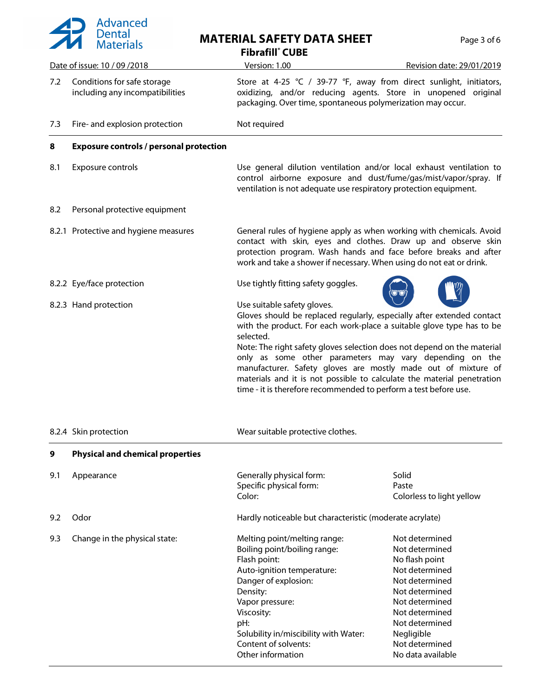

# **MATERIAL SAFETY DATA SHEET** Pag

| Page 3 of 6 |  |  |
|-------------|--|--|
|             |  |  |

**Fibrafill® CUBE**

|     | Date of issue: 10 / 09 / 2018                                  | <u> Version: 1.00</u>                                                                                                                                                                                                                                                                                                                                                                                                                                                                                                                            | Revision date: 29/01/2019                                                                                                                                                                                           |
|-----|----------------------------------------------------------------|--------------------------------------------------------------------------------------------------------------------------------------------------------------------------------------------------------------------------------------------------------------------------------------------------------------------------------------------------------------------------------------------------------------------------------------------------------------------------------------------------------------------------------------------------|---------------------------------------------------------------------------------------------------------------------------------------------------------------------------------------------------------------------|
| 7.2 | Conditions for safe storage<br>including any incompatibilities | Store at 4-25 ℃ / 39-77 °F, away from direct sunlight, initiators,<br>oxidizing, and/or reducing agents. Store in unopened original<br>packaging. Over time, spontaneous polymerization may occur.                                                                                                                                                                                                                                                                                                                                               |                                                                                                                                                                                                                     |
| 7.3 | Fire- and explosion protection                                 | Not required                                                                                                                                                                                                                                                                                                                                                                                                                                                                                                                                     |                                                                                                                                                                                                                     |
| 8   | <b>Exposure controls / personal protection</b>                 |                                                                                                                                                                                                                                                                                                                                                                                                                                                                                                                                                  |                                                                                                                                                                                                                     |
| 8.1 | Exposure controls                                              | Use general dilution ventilation and/or local exhaust ventilation to<br>control airborne exposure and dust/fume/gas/mist/vapor/spray. If<br>ventilation is not adequate use respiratory protection equipment.                                                                                                                                                                                                                                                                                                                                    |                                                                                                                                                                                                                     |
| 8.2 | Personal protective equipment                                  |                                                                                                                                                                                                                                                                                                                                                                                                                                                                                                                                                  |                                                                                                                                                                                                                     |
|     | 8.2.1 Protective and hygiene measures                          | General rules of hygiene apply as when working with chemicals. Avoid<br>contact with skin, eyes and clothes. Draw up and observe skin<br>protection program. Wash hands and face before breaks and after<br>work and take a shower if necessary. When using do not eat or drink.                                                                                                                                                                                                                                                                 |                                                                                                                                                                                                                     |
|     | 8.2.2 Eye/face protection                                      | Use tightly fitting safety goggles.                                                                                                                                                                                                                                                                                                                                                                                                                                                                                                              |                                                                                                                                                                                                                     |
|     | 8.2.3 Hand protection                                          | Use suitable safety gloves.<br>Gloves should be replaced regularly, especially after extended contact<br>with the product. For each work-place a suitable glove type has to be<br>selected.<br>Note: The right safety gloves selection does not depend on the material<br>only as some other parameters may vary depending on the<br>manufacturer. Safety gloves are mostly made out of mixture of<br>materials and it is not possible to calculate the material penetration<br>time - it is therefore recommended to perform a test before use. |                                                                                                                                                                                                                     |
|     | 8.2.4 Skin protection                                          | Wear suitable protective clothes.                                                                                                                                                                                                                                                                                                                                                                                                                                                                                                                |                                                                                                                                                                                                                     |
| У   | <b>Physical and chemical properties</b>                        |                                                                                                                                                                                                                                                                                                                                                                                                                                                                                                                                                  |                                                                                                                                                                                                                     |
| 9.1 | Appearance                                                     | Generally physical form:<br>Specific physical form:<br>Color:                                                                                                                                                                                                                                                                                                                                                                                                                                                                                    | Solid<br>Paste<br>Colorless to light yellow                                                                                                                                                                         |
| 9.2 | Odor                                                           | Hardly noticeable but characteristic (moderate acrylate)                                                                                                                                                                                                                                                                                                                                                                                                                                                                                         |                                                                                                                                                                                                                     |
| 9.3 | Change in the physical state:                                  | Melting point/melting range:<br>Boiling point/boiling range:<br>Flash point:<br>Auto-ignition temperature:<br>Danger of explosion:<br>Density:<br>Vapor pressure:<br>Viscosity:<br>pH:<br>Solubility in/miscibility with Water:<br>Content of solvents:<br>Other information                                                                                                                                                                                                                                                                     | Not determined<br>Not determined<br>No flash point<br>Not determined<br>Not determined<br>Not determined<br>Not determined<br>Not determined<br>Not determined<br>Negligible<br>Not determined<br>No data available |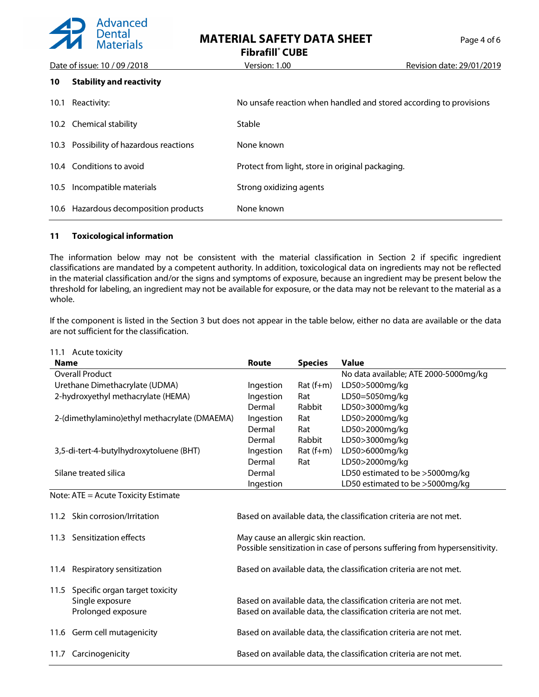

**MATERIAL SAFETY DATA SHEET** Page 4 of 6

**Fibrafill® CUBE**

|      | Date of issue: 10 / 09 / 2018           | Version: 1.00                                                      | Revision date: 29/01/2019 |
|------|-----------------------------------------|--------------------------------------------------------------------|---------------------------|
| 10   | <b>Stability and reactivity</b>         |                                                                    |                           |
| 10.1 | Reactivity:                             | No unsafe reaction when handled and stored according to provisions |                           |
|      | 10.2 Chemical stability                 | Stable                                                             |                           |
|      | 10.3 Possibility of hazardous reactions | None known                                                         |                           |
|      | 10.4 Conditions to avoid                | Protect from light, store in original packaging.                   |                           |
| 10.5 | Incompatible materials                  | Strong oxidizing agents                                            |                           |
| 10.6 | Hazardous decomposition products        | None known                                                         |                           |

#### **11 Toxicological information**

The information below may not be consistent with the material classification in Section 2 if specific ingredient classifications are mandated by a competent authority. In addition, toxicological data on ingredients may not be reflected in the material classification and/or the signs and symptoms of exposure, because an ingredient may be present below the threshold for labeling, an ingredient may not be available for exposure, or the data may not be relevant to the material as a whole.

If the component is listed in the Section 3 but does not appear in the table below, either no data are available or the data are not sufficient for the classification.

| <b>Name</b>                                                                     | <b>Route</b>                                                                                                                           | <b>Species</b> | <b>Value</b>                                                      |
|---------------------------------------------------------------------------------|----------------------------------------------------------------------------------------------------------------------------------------|----------------|-------------------------------------------------------------------|
| <b>Overall Product</b>                                                          |                                                                                                                                        |                | No data available; ATE 2000-5000mg/kg                             |
| Urethane Dimethacrylate (UDMA)                                                  | Ingestion                                                                                                                              | $Rat(f+m)$     | LD50>5000mg/kg                                                    |
| 2-hydroxyethyl methacrylate (HEMA)                                              | Ingestion                                                                                                                              | Rat            | LD50=5050mg/kg                                                    |
|                                                                                 | Dermal                                                                                                                                 | Rabbit         | LD50>3000mg/kg                                                    |
| 2-(dimethylamino) ethyl methacrylate (DMAEMA)                                   | Ingestion                                                                                                                              | Rat            | LD50>2000mg/kg                                                    |
|                                                                                 | Dermal                                                                                                                                 | Rat            | LD50>2000mg/kg                                                    |
|                                                                                 | Dermal                                                                                                                                 | Rabbit         | LD50>3000mg/kg                                                    |
| 3,5-di-tert-4-butylhydroxytoluene (BHT)                                         | Ingestion                                                                                                                              | $Rat$ (f+m)    | LD50>6000mg/kg                                                    |
|                                                                                 | Dermal                                                                                                                                 | Rat            | LD50>2000mg/kg                                                    |
| Silane treated silica                                                           | Dermal                                                                                                                                 |                | LD50 estimated to be >5000mg/kg                                   |
|                                                                                 | Ingestion                                                                                                                              |                | LD50 estimated to be >5000mg/kg                                   |
| Note: ATE = Acute Toxicity Estimate<br>11.2 Skin corrosion/Irritation           |                                                                                                                                        |                | Based on available data, the classification criteria are not met. |
| 11.3 Sensitization effects                                                      | May cause an allergic skin reaction.<br>Possible sensitization in case of persons suffering from hypersensitivity.                     |                |                                                                   |
| 11.4 Respiratory sensitization                                                  | Based on available data, the classification criteria are not met.                                                                      |                |                                                                   |
| 11.5<br>Specific organ target toxicity<br>Single exposure<br>Prolonged exposure | Based on available data, the classification criteria are not met.<br>Based on available data, the classification criteria are not met. |                |                                                                   |
| 11.6 Germ cell mutagenicity                                                     | Based on available data, the classification criteria are not met.                                                                      |                |                                                                   |
| Carcinogenicity<br>11.7                                                         | Based on available data, the classification criteria are not met.                                                                      |                |                                                                   |

#### 11.1 Acute toxicity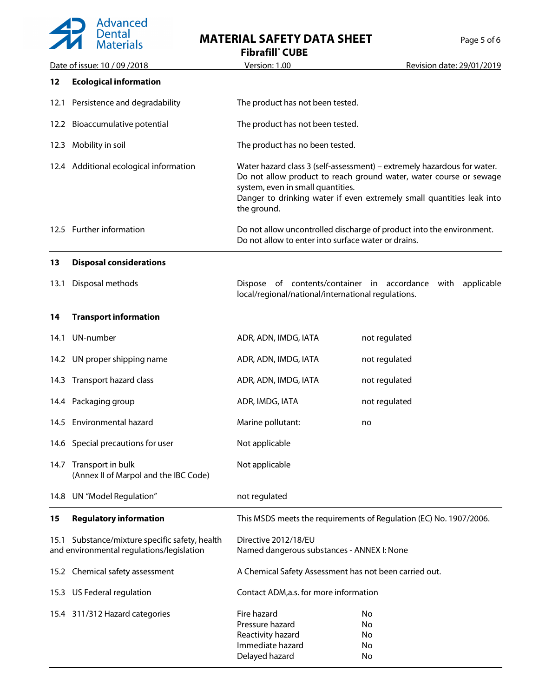## Advanced<br>Dental<br>Materials  $\overline{\phantom{a}}$

## **MATERIAL SAFETY DATA SHEET** Page 5 of 6

**Fibrafill® CUBE**

|      | Date of issue: 10 / 09 / 2018                                                               | Version: 1.00                                                                                                                                                                                                                                                              | Revision date: 29/01/2019                                            |
|------|---------------------------------------------------------------------------------------------|----------------------------------------------------------------------------------------------------------------------------------------------------------------------------------------------------------------------------------------------------------------------------|----------------------------------------------------------------------|
| 12   | <b>Ecological information</b>                                                               |                                                                                                                                                                                                                                                                            |                                                                      |
| 12.1 | Persistence and degradability                                                               | The product has not been tested.                                                                                                                                                                                                                                           |                                                                      |
|      | 12.2 Bioaccumulative potential                                                              | The product has not been tested.                                                                                                                                                                                                                                           |                                                                      |
|      | 12.3 Mobility in soil                                                                       | The product has no been tested.                                                                                                                                                                                                                                            |                                                                      |
|      | 12.4 Additional ecological information                                                      | Water hazard class 3 (self-assessment) – extremely hazardous for water.<br>Do not allow product to reach ground water, water course or sewage<br>system, even in small quantities.<br>Danger to drinking water if even extremely small quantities leak into<br>the ground. |                                                                      |
|      | 12.5 Further information                                                                    | Do not allow to enter into surface water or drains.                                                                                                                                                                                                                        | Do not allow uncontrolled discharge of product into the environment. |
| 13   | <b>Disposal considerations</b>                                                              |                                                                                                                                                                                                                                                                            |                                                                      |
| 13.1 | Disposal methods                                                                            | Dispose of contents/container in accordance with<br>local/regional/national/international regulations.                                                                                                                                                                     | applicable                                                           |
| 14   | <b>Transport information</b>                                                                |                                                                                                                                                                                                                                                                            |                                                                      |
| 14.1 | UN-number                                                                                   | ADR, ADN, IMDG, IATA                                                                                                                                                                                                                                                       | not regulated                                                        |
|      | 14.2 UN proper shipping name                                                                | ADR, ADN, IMDG, IATA                                                                                                                                                                                                                                                       | not regulated                                                        |
|      | 14.3 Transport hazard class                                                                 | ADR, ADN, IMDG, IATA                                                                                                                                                                                                                                                       | not regulated                                                        |
|      | 14.4 Packaging group                                                                        | ADR, IMDG, IATA                                                                                                                                                                                                                                                            | not regulated                                                        |
|      | 14.5 Environmental hazard                                                                   | Marine pollutant:                                                                                                                                                                                                                                                          | no                                                                   |
|      | 14.6 Special precautions for user                                                           | Not applicable                                                                                                                                                                                                                                                             |                                                                      |
| 14.7 | Transport in bulk<br>(Annex II of Marpol and the IBC Code)                                  | Not applicable                                                                                                                                                                                                                                                             |                                                                      |
|      | 14.8 UN "Model Regulation"                                                                  | not regulated                                                                                                                                                                                                                                                              |                                                                      |
| 15   | <b>Regulatory information</b>                                                               |                                                                                                                                                                                                                                                                            | This MSDS meets the requirements of Regulation (EC) No. 1907/2006.   |
|      | 15.1 Substance/mixture specific safety, health<br>and environmental regulations/legislation | Directive 2012/18/EU<br>Named dangerous substances - ANNEX I: None                                                                                                                                                                                                         |                                                                      |
|      | 15.2 Chemical safety assessment                                                             | A Chemical Safety Assessment has not been carried out.                                                                                                                                                                                                                     |                                                                      |
|      | 15.3 US Federal regulation                                                                  | Contact ADM,a.s. for more information                                                                                                                                                                                                                                      |                                                                      |
|      | 15.4 311/312 Hazard categories                                                              | Fire hazard<br>Pressure hazard<br>Reactivity hazard<br>Immediate hazard<br>Delayed hazard                                                                                                                                                                                  | No<br>No<br>No<br>No<br>No                                           |